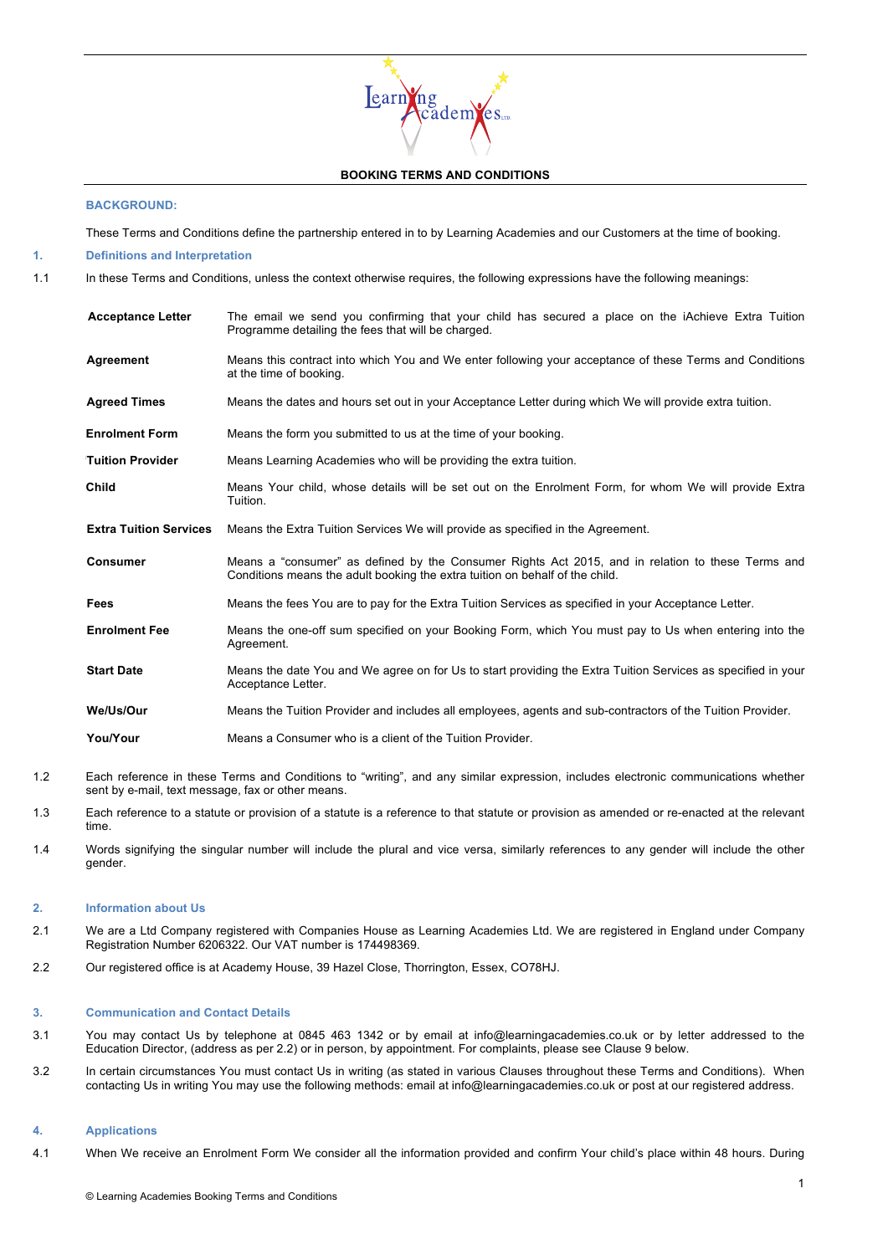# $\epsilon$ arn $\gamma$ ng ådem**Y**es.

## **BOOKING TERMS AND CONDITIONS**

## **BACKGROUND:**

These Terms and Conditions define the partnership entered in to by Learning Academies and our Customers at the time of booking.

**1. Definitions and Interpretation** 

1.1 In these Terms and Conditions, unless the context otherwise requires, the following expressions have the following meanings:

| <b>Acceptance Letter</b>      | The email we send you confirming that your child has secured a place on the <i>iAchieve Extra</i> Tuition<br>Programme detailing the fees that will be charged.                   |
|-------------------------------|-----------------------------------------------------------------------------------------------------------------------------------------------------------------------------------|
| Agreement                     | Means this contract into which You and We enter following your acceptance of these Terms and Conditions<br>at the time of booking.                                                |
| <b>Agreed Times</b>           | Means the dates and hours set out in your Acceptance Letter during which We will provide extra tuition.                                                                           |
| <b>Enrolment Form</b>         | Means the form you submitted to us at the time of your booking.                                                                                                                   |
| <b>Tuition Provider</b>       | Means Learning Academies who will be providing the extra tuition.                                                                                                                 |
| Child                         | Means Your child, whose details will be set out on the Enrolment Form, for whom We will provide Extra<br>Tuition.                                                                 |
| <b>Extra Tuition Services</b> | Means the Extra Tuition Services We will provide as specified in the Agreement.                                                                                                   |
| <b>Consumer</b>               | Means a "consumer" as defined by the Consumer Rights Act 2015, and in relation to these Terms and<br>Conditions means the adult booking the extra tuition on behalf of the child. |
| Fees                          | Means the fees You are to pay for the Extra Tuition Services as specified in your Acceptance Letter.                                                                              |
| <b>Enrolment Fee</b>          | Means the one-off sum specified on your Booking Form, which You must pay to Us when entering into the<br>Agreement.                                                               |

**Start Date** Means the date You and We agree on for Us to start providing the Extra Tuition Services as specified in your Acceptance Letter.

**" We/Us/Our** Means the Tuition Provider and includes all employees, agents and sub-contractors of the Tuition Provider.

**" You/Your** Means a Consumer who is a client of the Tuition Provider.

- 1.2 Each reference in these Terms and Conditions to "writing", and any similar expression, includes electronic communications whether sent by e-mail, text message, fax or other means.
- 1.3 Each reference to a statute or provision of a statute is a reference to that statute or provision as amended or re-enacted at the relevant time.
- 1.4 Words signifying the singular number will include the plural and vice versa, similarly references to any gender will include the other gender.

## **2. Information about Us**

- 2.1 We are a Ltd Company registered with Companies House as Learning Academies Ltd. We are registered in England under Company Registration Number 6206322. Our VAT number is 174498369.
- 2.2 Our registered office is at Academy House, 39 Hazel Close, Thorrington, Essex, CO78HJ.

#### **3. Communication and Contact Details**

- 3.1 You may contact Us by telephone at 0845 463 1342 or by email at info@learningacademies.co.uk or by letter addressed to the Education Director, (address as per 2.2) or in person, by appointment. For complaints, please see Clause 9 below.
- 3.2 In certain circumstances You must contact Us in writing (as stated in various Clauses throughout these Terms and Conditions). When contacting Us in writing You may use the following methods: email at info@learningacademies.co.uk or post at our registered address.

#### **4. Applications**

4.1 When We receive an Enrolment Form We consider all the information provided and confirm Your child's place within 48 hours. During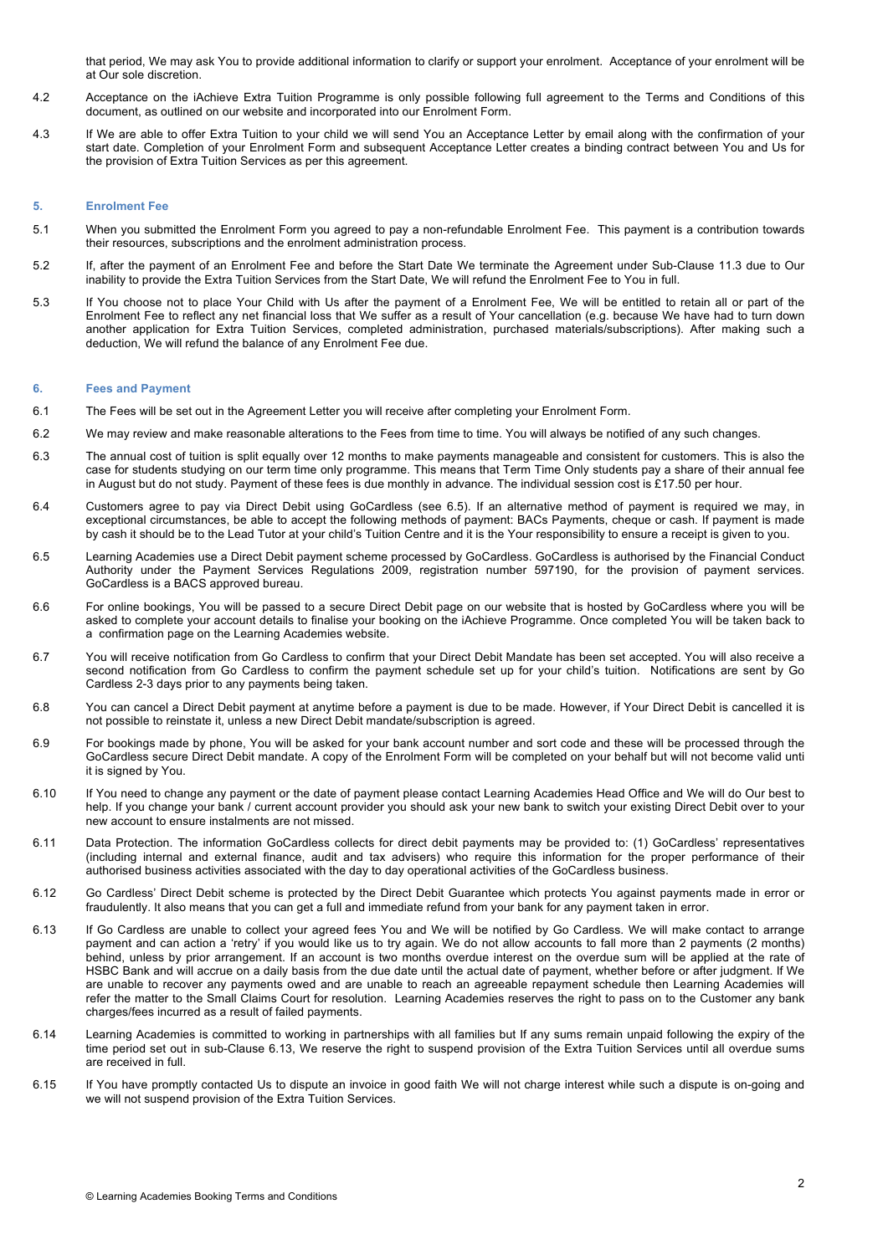that period, We may ask You to provide additional information to clarify or support your enrolment. Acceptance of your enrolment will be at Our sole discretion.

- 4.2 Acceptance on the iAchieve Extra Tuition Programme is only possible following full agreement to the Terms and Conditions of this document, as outlined on our website and incorporated into our Enrolment Form.
- 4.3 If We are able to offer Extra Tuition to your child we will send You an Acceptance Letter by email along with the confirmation of your start date. Completion of your Enrolment Form and subsequent Acceptance Letter creates a binding contract between You and Us for the provision of Extra Tuition Services as per this agreement.

## **5. Enrolment Fee**

- 5.1 When you submitted the Enrolment Form you agreed to pay a non-refundable Enrolment Fee. This payment is a contribution towards their resources, subscriptions and the enrolment administration process.
- 5.2 If, after the payment of an Enrolment Fee and before the Start Date We terminate the Agreement under Sub-Clause 11.3 due to Our inability to provide the Extra Tuition Services from the Start Date, We will refund the Enrolment Fee to You in full.
- 5.3 If You choose not to place Your Child with Us after the payment of a Enrolment Fee, We will be entitled to retain all or part of the Enrolment Fee to reflect any net financial loss that We suffer as a result of Your cancellation (e.g. because We have had to turn down another application for Extra Tuition Services, completed administration, purchased materials/subscriptions). After making such a deduction, We will refund the balance of any Enrolment Fee due.

#### **6. Fees and Payment**

- 6.1 The Fees will be set out in the Agreement Letter you will receive after completing your Enrolment Form.
- 6.2 We may review and make reasonable alterations to the Fees from time to time. You will always be notified of any such changes.
- 6.3 The annual cost of tuition is split equally over 12 months to make payments manageable and consistent for customers. This is also the case for students studying on our term time only programme. This means that Term Time Only students pay a share of their annual fee in August but do not study. Payment of these fees is due monthly in advance. The individual session cost is £17.50 per hour.
- 6.4 Customers agree to pay via Direct Debit using GoCardless (see 6.5). If an alternative method of payment is required we may, in exceptional circumstances, be able to accept the following methods of payment: BACs Payments, cheque or cash. If payment is made by cash it should be to the Lead Tutor at your child's Tuition Centre and it is the Your responsibility to ensure a receipt is given to you.
- 6.5 Learning Academies use a Direct Debit payment scheme processed by GoCardless. GoCardless is authorised by the Financial Conduct Authority under the Payment Services Regulations 2009, registration number 597190, for the provision of payment services. GoCardless is a BACS approved bureau.
- 6.6 For online bookings, You will be passed to a secure Direct Debit page on our website that is hosted by GoCardless where you will be asked to complete your account details to finalise your booking on the iAchieve Programme. Once completed You will be taken back to a confirmation page on the Learning Academies website.
- 6.7 You will receive notification from Go Cardless to confirm that your Direct Debit Mandate has been set accepted. You will also receive a second notification from Go Cardless to confirm the payment schedule set up for your child's tuition. Notifications are sent by Go Cardless 2-3 days prior to any payments being taken.
- 6.8 You can cancel a Direct Debit payment at anytime before a payment is due to be made. However, if Your Direct Debit is cancelled it is not possible to reinstate it, unless a new Direct Debit mandate/subscription is agreed.
- 6.9 For bookings made by phone, You will be asked for your bank account number and sort code and these will be processed through the GoCardless secure Direct Debit mandate. A copy of the Enrolment Form will be completed on your behalf but will not become valid unti it is signed by You.
- 6.10 If You need to change any payment or the date of payment please contact Learning Academies Head Office and We will do Our best to help. If you change your bank / current account provider you should ask your new bank to switch your existing Direct Debit over to your new account to ensure instalments are not missed.
- 6.11 Data Protection. The information GoCardless collects for direct debit payments may be provided to: (1) GoCardless' representatives (including internal and external finance, audit and tax advisers) who require this information for the proper performance of their authorised business activities associated with the day to day operational activities of the GoCardless business.
- 6.12 Go Cardless' Direct Debit scheme is protected by the Direct Debit Guarantee which protects You against payments made in error or fraudulently. It also means that you can get a full and immediate refund from your bank for any payment taken in error.
- 6.13 If Go Cardless are unable to collect your agreed fees You and We will be notified by Go Cardless. We will make contact to arrange payment and can action a 'retry' if you would like us to try again. We do not allow accounts to fall more than 2 payments (2 months) behind, unless by prior arrangement. If an account is two months overdue interest on the overdue sum will be applied at the rate of HSBC Bank and will accrue on a daily basis from the due date until the actual date of payment, whether before or after judgment. If We are unable to recover any payments owed and are unable to reach an agreeable repayment schedule then Learning Academies will refer the matter to the Small Claims Court for resolution. Learning Academies reserves the right to pass on to the Customer any bank charges/fees incurred as a result of failed payments.
- 6.14 Learning Academies is committed to working in partnerships with all families but If any sums remain unpaid following the expiry of the time period set out in sub-Clause 6.13, We reserve the right to suspend provision of the Extra Tuition Services until all overdue sums are received in full.
- 6.15 If You have promptly contacted Us to dispute an invoice in good faith We will not charge interest while such a dispute is on-going and we will not suspend provision of the Extra Tuition Services.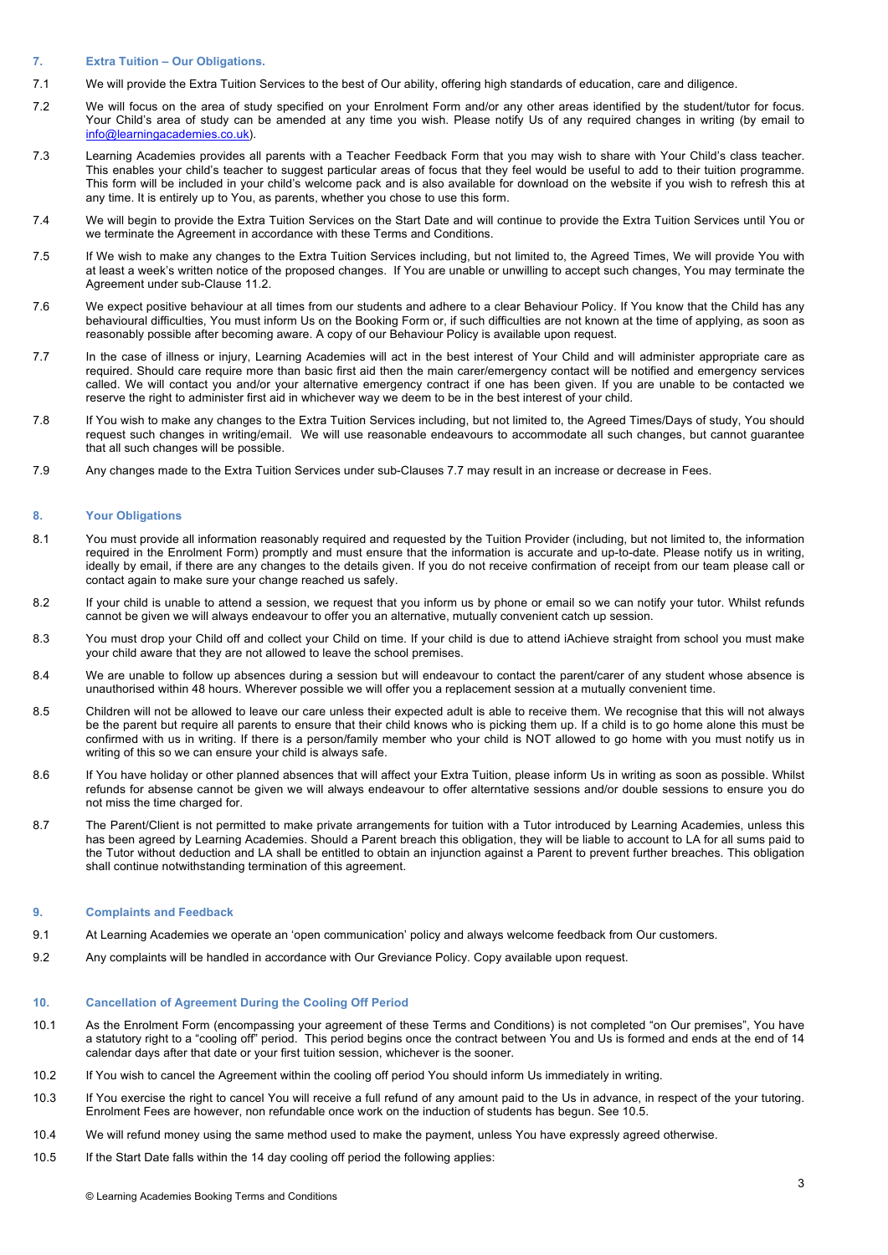#### **7. Extra Tuition – Our Obligations.**

- 7.1 We will provide the Extra Tuition Services to the best of Our ability, offering high standards of education, care and diligence.
- 7.2 We will focus on the area of study specified on your Enrolment Form and/or any other areas identified by the student/tutor for focus. Your Child's area of study can be amended at any time you wish. Please notify Us of any required changes in writing (by email to info@learningacademies.co.uk).
- 7.3 Learning Academies provides all parents with a Teacher Feedback Form that you may wish to share with Your Child's class teacher. This enables your child's teacher to suggest particular areas of focus that they feel would be useful to add to their tuition programme. This form will be included in your child's welcome pack and is also available for download on the website if you wish to refresh this at any time. It is entirely up to You, as parents, whether you chose to use this form.
- 7.4 We will begin to provide the Extra Tuition Services on the Start Date and will continue to provide the Extra Tuition Services until You or we terminate the Agreement in accordance with these Terms and Conditions.
- 7.5 If We wish to make any changes to the Extra Tuition Services including, but not limited to, the Agreed Times, We will provide You with at least a week's written notice of the proposed changes. If You are unable or unwilling to accept such changes, You may terminate the Agreement under sub-Clause 11.2.
- 7.6 We expect positive behaviour at all times from our students and adhere to a clear Behaviour Policy. If You know that the Child has any behavioural difficulties, You must inform Us on the Booking Form or, if such difficulties are not known at the time of applying, as soon as reasonably possible after becoming aware. A copy of our Behaviour Policy is available upon request.
- 7.7 In the case of illness or injury, Learning Academies will act in the best interest of Your Child and will administer appropriate care as required. Should care require more than basic first aid then the main carer/emergency contact will be notified and emergency services called. We will contact you and/or your alternative emergency contract if one has been given. If you are unable to be contacted we reserve the right to administer first aid in whichever way we deem to be in the best interest of your child.
- 7.8 If You wish to make any changes to the Extra Tuition Services including, but not limited to, the Agreed Times/Days of study, You should request such changes in writing/email. We will use reasonable endeavours to accommodate all such changes, but cannot guarantee that all such changes will be possible.
- 7.9 Any changes made to the Extra Tuition Services under sub-Clauses 7.7 may result in an increase or decrease in Fees.

## **8. Your Obligations**

- 8.1 You must provide all information reasonably required and requested by the Tuition Provider (including, but not limited to, the information required in the Enrolment Form) promptly and must ensure that the information is accurate and up-to-date. Please notify us in writing, ideally by email, if there are any changes to the details given. If you do not receive confirmation of receipt from our team please call or contact again to make sure your change reached us safely.
- 8.2 If your child is unable to attend a session, we request that you inform us by phone or email so we can notify your tutor. Whilst refunds cannot be given we will always endeavour to offer you an alternative, mutually convenient catch up session.
- 8.3 You must drop your Child off and collect your Child on time. If your child is due to attend iAchieve straight from school you must make your child aware that they are not allowed to leave the school premises.
- 8.4 We are unable to follow up absences during a session but will endeavour to contact the parent/carer of any student whose absence is unauthorised within 48 hours. Wherever possible we will offer you a replacement session at a mutually convenient time.
- 8.5 Children will not be allowed to leave our care unless their expected adult is able to receive them. We recognise that this will not always be the parent but require all parents to ensure that their child knows who is picking them up. If a child is to go home alone this must be confirmed with us in writing. If there is a person/family member who your child is NOT allowed to go home with you must notify us in writing of this so we can ensure your child is always safe.
- 8.6 If You have holiday or other planned absences that will affect your Extra Tuition, please inform Us in writing as soon as possible. Whilst refunds for absense cannot be given we will always endeavour to offer alterntative sessions and/or double sessions to ensure you do not miss the time charged for.
- 8.7 The Parent/Client is not permitted to make private arrangements for tuition with a Tutor introduced by Learning Academies, unless this has been agreed by Learning Academies. Should a Parent breach this obligation, they will be liable to account to LA for all sums paid to the Tutor without deduction and LA shall be entitled to obtain an injunction against a Parent to prevent further breaches. This obligation shall continue notwithstanding termination of this agreement.

## **9. Complaints and Feedback**

- 9.1 At Learning Academies we operate an 'open communication' policy and always welcome feedback from Our customers.
- 9.2 Any complaints will be handled in accordance with Our Greviance Policy. Copy available upon request.

## **10. Cancellation of Agreement During the Cooling Off Period**

- 10.1 As the Enrolment Form (encompassing your agreement of these Terms and Conditions) is not completed "on Our premises", You have a statutory right to a "cooling off" period. This period begins once the contract between You and Us is formed and ends at the end of 14 calendar days after that date or your first tuition session, whichever is the sooner.
- 10.2 If You wish to cancel the Agreement within the cooling off period You should inform Us immediately in writing.
- 10.3 If You exercise the right to cancel You will receive a full refund of any amount paid to the Us in advance, in respect of the your tutoring. Enrolment Fees are however, non refundable once work on the induction of students has begun. See 10.5.
- 10.4 We will refund money using the same method used to make the payment, unless You have expressly agreed otherwise.
- 10.5 If the Start Date falls within the 14 day cooling off period the following applies: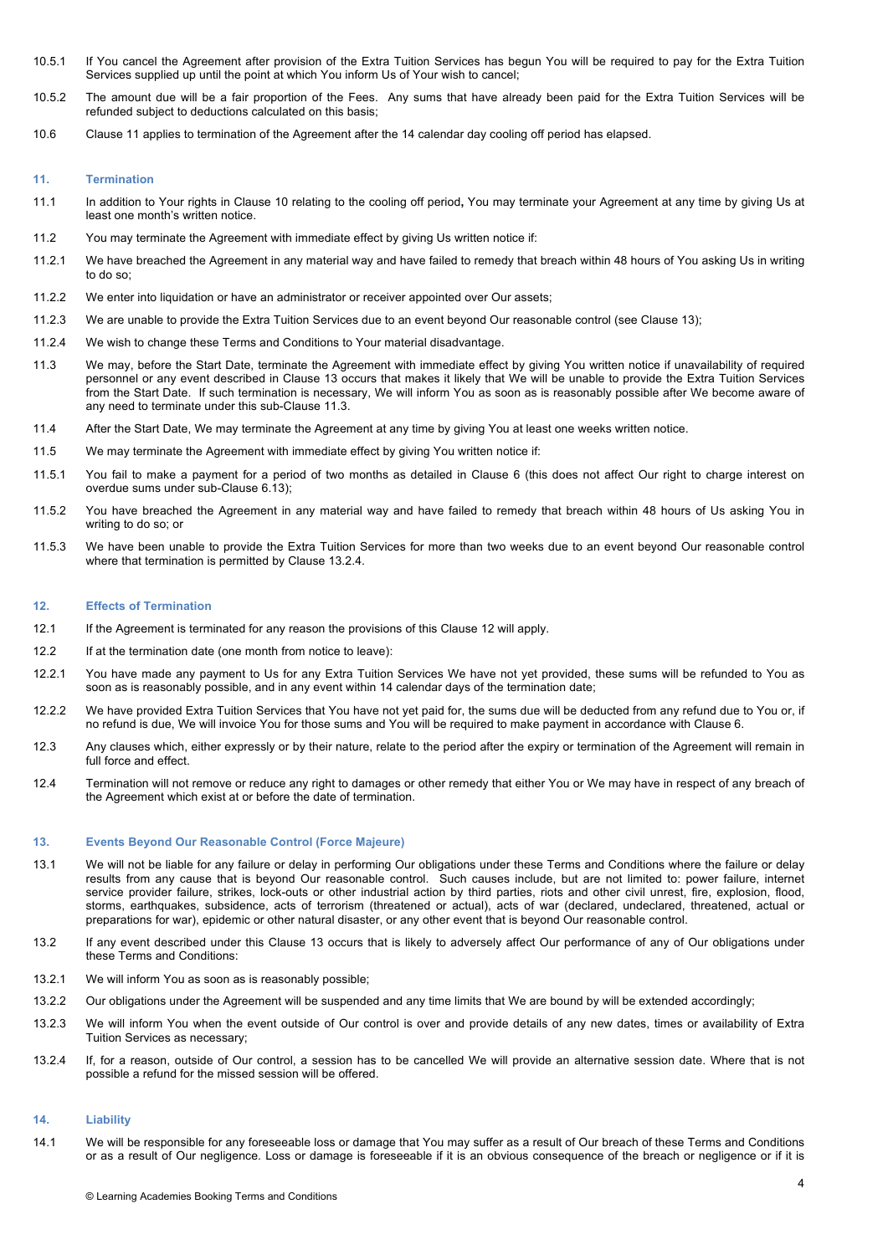- 10.5.1 If You cancel the Agreement after provision of the Extra Tuition Services has begun You will be required to pay for the Extra Tuition Services supplied up until the point at which You inform Us of Your wish to cancel;
- 10.5.2 The amount due will be a fair proportion of the Fees. Any sums that have already been paid for the Extra Tuition Services will be refunded subject to deductions calculated on this basis;
- 10.6 Clause 11 applies to termination of the Agreement after the 14 calendar day cooling off period has elapsed.

#### **11. Termination**

- 11.1 In addition to Your rights in Clause 10 relating to the cooling off period**,** You may terminate your Agreement at any time by giving Us at least one month's written notice.
- 11.2 You may terminate the Agreement with immediate effect by giving Us written notice if:
- 11.2.1 We have breached the Agreement in any material way and have failed to remedy that breach within 48 hours of You asking Us in writing to do so;
- 11.2.2 We enter into liquidation or have an administrator or receiver appointed over Our assets;
- 11.2.3 We are unable to provide the Extra Tuition Services due to an event beyond Our reasonable control (see Clause 13);
- 11.2.4 We wish to change these Terms and Conditions to Your material disadvantage.
- 11.3 We may, before the Start Date, terminate the Agreement with immediate effect by giving You written notice if unavailability of required personnel or any event described in Clause 13 occurs that makes it likely that We will be unable to provide the Extra Tuition Services from the Start Date. If such termination is necessary, We will inform You as soon as is reasonably possible after We become aware of any need to terminate under this sub-Clause 11.3.
- 11.4 After the Start Date, We may terminate the Agreement at any time by giving You at least one weeks written notice.
- 11.5 We may terminate the Agreement with immediate effect by giving You written notice if:
- 11.5.1 You fail to make a payment for a period of two months as detailed in Clause 6 (this does not affect Our right to charge interest on overdue sums under sub-Clause 6.13);
- 11.5.2 You have breached the Agreement in any material way and have failed to remedy that breach within 48 hours of Us asking You in writing to do so; or
- 11.5.3 We have been unable to provide the Extra Tuition Services for more than two weeks due to an event beyond Our reasonable control where that termination is permitted by Clause 13.2.4.

#### **12. Effects of Termination**

- 12.1 If the Agreement is terminated for any reason the provisions of this Clause 12 will apply.
- 12.2 If at the termination date (one month from notice to leave):
- 12.2.1 You have made any payment to Us for any Extra Tuition Services We have not yet provided, these sums will be refunded to You as soon as is reasonably possible, and in any event within 14 calendar days of the termination date;
- 12.2.2 We have provided Extra Tuition Services that You have not yet paid for, the sums due will be deducted from any refund due to You or, if no refund is due, We will invoice You for those sums and You will be required to make payment in accordance with Clause 6.
- 12.3 Any clauses which, either expressly or by their nature, relate to the period after the expiry or termination of the Agreement will remain in full force and effect.
- 12.4 Termination will not remove or reduce any right to damages or other remedy that either You or We may have in respect of any breach of the Agreement which exist at or before the date of termination.

## **13. Events Beyond Our Reasonable Control (Force Majeure)**

- 13.1 We will not be liable for any failure or delay in performing Our obligations under these Terms and Conditions where the failure or delay results from any cause that is beyond Our reasonable control. Such causes include, but are not limited to: power failure, internet service provider failure, strikes, lock-outs or other industrial action by third parties, riots and other civil unrest, fire, explosion, flood, storms, earthquakes, subsidence, acts of terrorism (threatened or actual), acts of war (declared, undeclared, threatened, actual or preparations for war), epidemic or other natural disaster, or any other event that is beyond Our reasonable control.
- 13.2 If any event described under this Clause 13 occurs that is likely to adversely affect Our performance of any of Our obligations under these Terms and Conditions:
- 13.2.1 We will inform You as soon as is reasonably possible;
- 13.2.2 Our obligations under the Agreement will be suspended and any time limits that We are bound by will be extended accordingly;
- 13.2.3 We will inform You when the event outside of Our control is over and provide details of any new dates, times or availability of Extra Tuition Services as necessary;
- 13.2.4 If, for a reason, outside of Our control, a session has to be cancelled We will provide an alternative session date. Where that is not possible a refund for the missed session will be offered.

## **14. Liability**

14.1 We will be responsible for any foreseeable loss or damage that You may suffer as a result of Our breach of these Terms and Conditions or as a result of Our negligence. Loss or damage is foreseeable if it is an obvious consequence of the breach or negligence or if it is